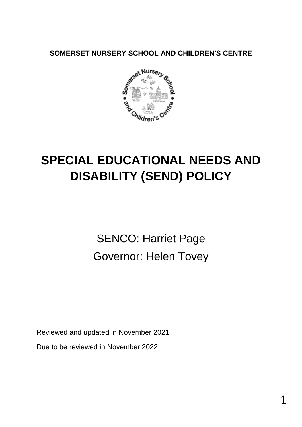**SOMERSET NURSERY SCHOOL AND CHILDREN'S CENTRE**



# **SPECIAL EDUCATIONAL NEEDS AND DISABILITY (SEND) POLICY**

SENCO: Harriet Page Governor: Helen Tovey

Reviewed and updated in November 2021

Due to be reviewed in November 2022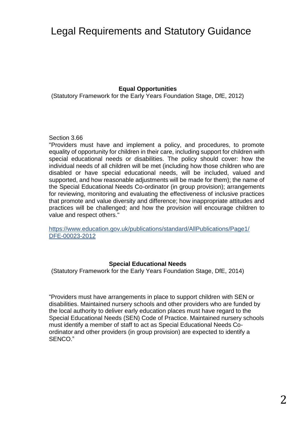# Legal Requirements and Statutory Guidance

#### **Equal Opportunities**

(Statutory Framework for the Early Years Foundation Stage, DfE, 2012)

#### Section 3.66

"Providers must have and implement a policy, and procedures, to promote equality of opportunity for children in their care, including support for children with special educational needs or disabilities. The policy should cover: how the individual needs of all children will be met (including how those children who are disabled or have special educational needs, will be included, valued and supported, and how reasonable adjustments will be made for them); the name of the Special Educational Needs Co-ordinator (in group provision); arrangements for reviewing, monitoring and evaluating the effectiveness of inclusive practices that promote and value diversity and difference; how inappropriate attitudes and practices will be challenged; and how the provision will encourage children to value and respect others."

https://www.education.gov.uk/publications/standard/AllPublications/Page1/ DFE-00023-2012

#### **Special Educational Needs**

(Statutory Framework for the Early Years Foundation Stage, DfE, 2014)

"Providers must have arrangements in place to support children with SEN or disabilities. Maintained nursery schools and other providers who are funded by the local authority to deliver early education places must have regard to the Special Educational Needs (SEN) Code of Practice. Maintained nursery schools must identify a member of staff to act as Special Educational Needs Coordinator and other providers (in group provision) are expected to identify a SENCO."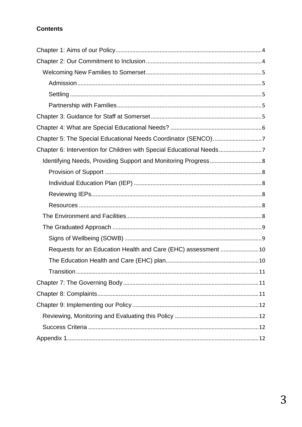#### **Contents**

| Chapter 5: The Special Educational Needs Coordinator (SENCO)7       |
|---------------------------------------------------------------------|
| Chapter 6: Intervention for Children with Special Educational Needs |
|                                                                     |
|                                                                     |
|                                                                     |
|                                                                     |
|                                                                     |
|                                                                     |
|                                                                     |
|                                                                     |
| Requests for an Education Health and Care (EHC) assessment 10       |
|                                                                     |
| .11                                                                 |
|                                                                     |
|                                                                     |
|                                                                     |
|                                                                     |
|                                                                     |
|                                                                     |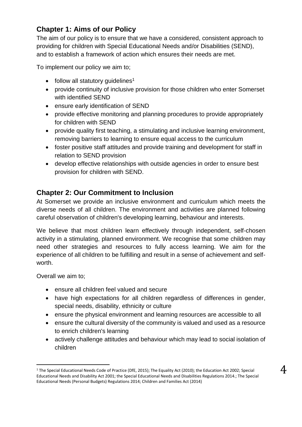# <span id="page-3-0"></span>**Chapter 1: Aims of our Policy**

The aim of our policy is to ensure that we have a considered, consistent approach to providing for children with Special Educational Needs and/or Disabilities (SEND), and to establish a framework of action which ensures their needs are met.

To implement our policy we aim to;

- $\bullet$  follow all statutory quidelines<sup>1</sup>
- provide continuity of inclusive provision for those children who enter Somerset with identified SEND
- ensure early identification of SEND
- provide effective monitoring and planning procedures to provide appropriately for children with SEND
- provide quality first teaching, a stimulating and inclusive learning environment, removing barriers to learning to ensure equal access to the curriculum
- foster positive staff attitudes and provide training and development for staff in relation to SEND provision
- develop effective relationships with outside agencies in order to ensure best provision for children with SEND.

#### <span id="page-3-1"></span>**Chapter 2: Our Commitment to Inclusion**

At Somerset we provide an inclusive environment and curriculum which meets the diverse needs of all children. The environment and activities are planned following careful observation of children's developing learning, behaviour and interests.

We believe that most children learn effectively through independent, self-chosen activity in a stimulating, planned environment. We recognise that some children may need other strategies and resources to fully access learning. We aim for the experience of all children to be fulfilling and result in a sense of achievement and selfworth.

Overall we aim to;

-

- ensure all children feel valued and secure
- have high expectations for all children regardless of differences in gender, special needs, disability, ethnicity or culture
- ensure the physical environment and learning resources are accessible to all
- ensure the cultural diversity of the community is valued and used as a resource to enrich children's learning
- actively challenge attitudes and behaviour which may lead to social isolation of children

<sup>1</sup> The Special Educational Needs Code of Practice (DfE, 2015); The Equality Act (2010); the Education Act 2002; Special Educational Needs and Disability Act 2001; the Special Educational Needs and Disabilities Regulations 2014.; The Special Educational Needs (Personal Budgets) Regulations 2014; Children and Families Act (2014)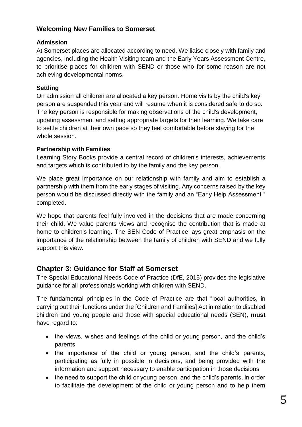#### <span id="page-4-0"></span>**Welcoming New Families to Somerset**

#### <span id="page-4-1"></span>**Admission**

At Somerset places are allocated according to need. We liaise closely with family and agencies, including the Health Visiting team and the Early Years Assessment Centre, to prioritise places for children with SEND or those who for some reason are not achieving developmental norms.

#### <span id="page-4-2"></span>**Settling**

On admission all children are allocated a key person. Home visits by the child's key person are suspended this year and will resume when it is considered safe to do so. The key person is responsible for making observations of the child's development, updating assessment and setting appropriate targets for their learning. We take care to settle children at their own pace so they feel comfortable before staying for the whole session.

#### <span id="page-4-3"></span>**Partnership with Families**

Learning Story Books provide a central record of children's interests, achievements and targets which is contributed to by the family and the key person.

We place great importance on our relationship with family and aim to establish a partnership with them from the early stages of visiting. Any concerns raised by the key person would be discussed directly with the family and an "Early Help Assessment " completed.

We hope that parents feel fully involved in the decisions that are made concerning their child. We value parents views and recognise the contribution that is made at home to children's learning. The SEN Code of Practice lays great emphasis on the importance of the relationship between the family of children with SEND and we fully support this view.

#### <span id="page-4-4"></span>**Chapter 3: Guidance for Staff at Somerset**

The Special Educational Needs Code of Practice (DfE, 2015) provides the legislative guidance for all professionals working with children with SEND.

The fundamental principles in the Code of Practice are that "local authorities, in carrying out their functions under the [Children and Families] Act in relation to disabled children and young people and those with special educational needs (SEN), **must** have regard to:

- the views, wishes and feelings of the child or young person, and the child's parents
- the importance of the child or young person, and the child's parents, participating as fully in possible in decisions, and being provided with the information and support necessary to enable participation in those decisions
- the need to support the child or young person, and the child's parents, in order to facilitate the development of the child or young person and to help them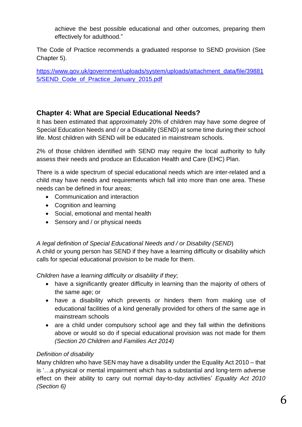achieve the best possible educational and other outcomes, preparing them effectively for adulthood."

The Code of Practice recommends a graduated response to SEND provision (See Chapter 5).

[https://www.gov.uk/government/uploads/system/uploads/attachment\\_data/file/39881](https://www.gov.uk/government/uploads/system/uploads/attachment_data/file/398815/SEND_Code_of_Practice_January_2015.pdf) [5/SEND\\_Code\\_of\\_Practice\\_January\\_2015.pdf](https://www.gov.uk/government/uploads/system/uploads/attachment_data/file/398815/SEND_Code_of_Practice_January_2015.pdf)

# <span id="page-5-0"></span>**Chapter 4: What are Special Educational Needs?**

It has been estimated that approximately 20% of children may have some degree of Special Education Needs and / or a Disability (SEND) at some time during their school life. Most children with SEND will be educated in mainstream schools.

2% of those children identified with SEND may require the local authority to fully assess their needs and produce an Education Health and Care (EHC) Plan.

There is a wide spectrum of special educational needs which are inter-related and a child may have needs and requirements which fall into more than one area. These needs can be defined in four areas;

- Communication and interaction
- Cognition and learning
- Social, emotional and mental health
- Sensory and / or physical needs

#### *A legal definition of Special Educational Needs and / or Disability (SEND*)

A child or young person has SEND if they have a learning difficulty or disability which calls for special educational provision to be made for them.

*Children have a learning difficulty or disability if they*;

- have a significantly greater difficulty in learning than the majority of others of the same age; or
- have a disability which prevents or hinders them from making use of educational facilities of a kind generally provided for others of the same age in mainstream schools
- are a child under compulsory school age and they fall within the definitions above or would so do if special educational provision was not made for them *(Section 20 Children and Families Act 2014)*

#### *Definition of disability*

Many children who have SEN may have a disability under the Equality Act 2010 – that is '…a physical or mental impairment which has a substantial and long-term adverse effect on their ability to carry out normal day-to-day activities' *Equality Act 2010 (Section 6)*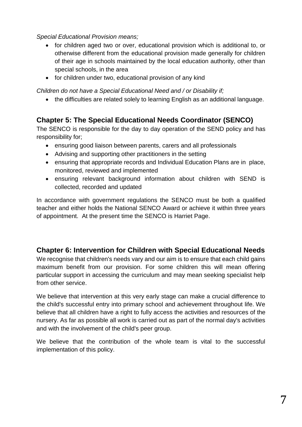#### *Special Educational Provision means;*

- for children aged two or over, educational provision which is additional to, or otherwise different from the educational provision made generally for children of their age in schools maintained by the local education authority, other than special schools, in the area
- for children under two, educational provision of any kind

#### *Children do not have a Special Educational Need and / or Disability if;*

the difficulties are related solely to learning English as an additional language.

# <span id="page-6-0"></span>**Chapter 5: The Special Educational Needs Coordinator (SENCO)**

The SENCO is responsible for the day to day operation of the SEND policy and has responsibility for;

- ensuring good liaison between parents, carers and all professionals
- Advising and supporting other practitioners in the setting
- ensuring that appropriate records and Individual Education Plans are in place, monitored, reviewed and implemented
- ensuring relevant background information about children with SEND is collected, recorded and updated

In accordance with government regulations the SENCO must be both a qualified teacher and either holds the National SENCO Award or achieve it within three years of appointment. At the present time the SENCO is Harriet Page.

# <span id="page-6-1"></span>**Chapter 6: Intervention for Children with Special Educational Needs**

We recognise that children's needs vary and our aim is to ensure that each child gains maximum benefit from our provision. For some children this will mean offering particular support in accessing the curriculum and may mean seeking specialist help from other service.

We believe that intervention at this very early stage can make a crucial difference to the child's successful entry into primary school and achievement throughout life. We believe that all children have a right to fully access the activities and resources of the nursery. As far as possible all work is carried out as part of the normal day's activities and with the involvement of the child's peer group.

We believe that the contribution of the whole team is vital to the successful implementation of this policy.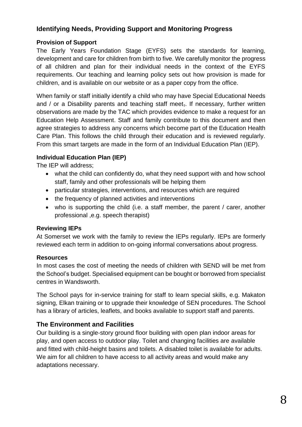## <span id="page-7-0"></span>**Identifying Needs, Providing Support and Monitoring Progress**

#### <span id="page-7-1"></span>**Provision of Support**

The Early Years Foundation Stage (EYFS) sets the standards for learning, development and care for children from birth to five. We carefully monitor the progress of all children and plan for their individual needs in the context of the EYFS requirements. Our teaching and learning policy sets out how provision is made for children, and is available on our website or as a paper copy from the office.

When family or staff initially identify a child who may have Special Educational Needs and / or a Disability parents and teaching staff meet. If necessary, further written observations are made by the TAC which provides evidence to make a request for an Education Help Assessment. Staff and family contribute to this document and then agree strategies to address any concerns which become part of the Education Health Care Plan. This follows the child through their education and is reviewed regularly. From this smart targets are made in the form of an Individual Education Plan (IEP).

#### <span id="page-7-2"></span>**Individual Education Plan (IEP)**

The IEP will address;

- what the child can confidently do, what they need support with and how school staff, family and other professionals will be helping them
- particular strategies, interventions, and resources which are required
- the frequency of planned activities and interventions
- who is supporting the child (i.e. a staff member, the parent / carer, another professional ,e.g. speech therapist)

#### <span id="page-7-3"></span>**Reviewing IEPs**

At Somerset we work with the family to review the IEPs regularly. IEPs are formerly reviewed each term in addition to on-going informal conversations about progress.

#### <span id="page-7-4"></span>**Resources**

In most cases the cost of meeting the needs of children with SEND will be met from the School's budget. Specialised equipment can be bought or borrowed from specialist centres in Wandsworth.

The School pays for in-service training for staff to learn special skills, e.g. Makaton signing, Elkan training or to upgrade their knowledge of SEN procedures. The School has a library of articles, leaflets, and books available to support staff and parents.

#### <span id="page-7-5"></span>**The Environment and Facilities**

Our building is a single-story ground floor building with open plan indoor areas for play, and open access to outdoor play. Toilet and changing facilities are available and fitted with child-height basins and toilets. A disabled toilet is available for adults. We aim for all children to have access to all activity areas and would make any adaptations necessary.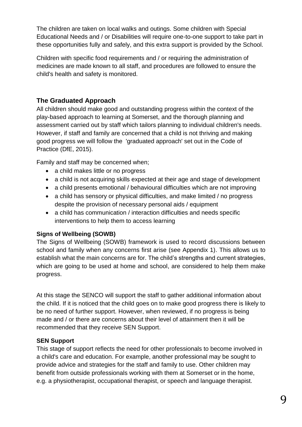The children are taken on local walks and outings. Some children with Special Educational Needs and / or Disabilities will require one-to-one support to take part in these opportunities fully and safely, and this extra support is provided by the School.

Children with specific food requirements and / or requiring the administration of medicines are made known to all staff, and procedures are followed to ensure the child's health and safety is monitored.

#### <span id="page-8-0"></span>**The Graduated Approach**

All children should make good and outstanding progress within the context of the play-based approach to learning at Somerset, and the thorough planning and assessment carried out by staff which tailors planning to individual children's needs. However, if staff and family are concerned that a child is not thriving and making good progress we will follow the 'graduated approach' set out in the Code of Practice (DfE, 2015).

Family and staff may be concerned when;

- a child makes little or no progress
- a child is not acquiring skills expected at their age and stage of development
- a child presents emotional / behavioural difficulties which are not improving
- a child has sensory or physical difficulties, and make limited / no progress despite the provision of necessary personal aids / equipment
- a child has communication / interaction difficulties and needs specific interventions to help them to access learning

#### <span id="page-8-1"></span>**Signs of Wellbeing (SOWB)**

The Signs of Wellbeing (SOWB) framework is used to record discussions between school and family when any concerns first arise (see Appendix 1). This allows us to establish what the main concerns are for. The child's strengths and current strategies, which are going to be used at home and school, are considered to help them make progress.

At this stage the SENCO will support the staff to gather additional information about the child. If it is noticed that the child goes on to make good progress there is likely to be no need of further support. However, when reviewed, if no progress is being made and / or there are concerns about their level of attainment then it will be recommended that they receive SEN Support.

#### **SEN Support**

This stage of support reflects the need for other professionals to become involved in a child's care and education. For example, another professional may be sought to provide advice and strategies for the staff and family to use. Other children may benefit from outside professionals working with them at Somerset or in the home, e.g. a physiotherapist, occupational therapist, or speech and language therapist.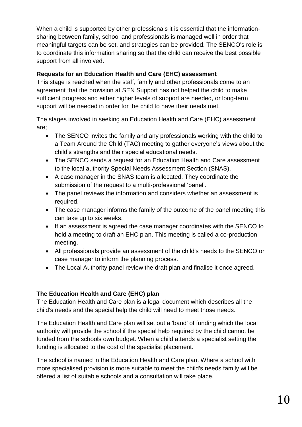When a child is supported by other professionals it is essential that the informationsharing between family, school and professionals is managed well in order that meaningful targets can be set, and strategies can be provided. The SENCO's role is to coordinate this information sharing so that the child can receive the best possible support from all involved.

#### <span id="page-9-0"></span>**Requests for an Education Health and Care (EHC) assessment**

This stage is reached when the staff, family and other professionals come to an agreement that the provision at SEN Support has not helped the child to make sufficient progress and either higher levels of support are needed, or long-term support will be needed in order for the child to have their needs met.

The stages involved in seeking an Education Health and Care (EHC) assessment are;

- The SENCO invites the family and any professionals working with the child to a Team Around the Child (TAC) meeting to gather everyone's views about the child's strengths and their special educational needs.
- The SENCO sends a request for an Education Health and Care assessment to the local authority Special Needs Assessment Section (SNAS).
- A case manager in the SNAS team is allocated. They coordinate the submission of the request to a multi-professional 'panel'.
- The panel reviews the information and considers whether an assessment is required.
- The case manager informs the family of the outcome of the panel meeting this can take up to six weeks.
- If an assessment is agreed the case manager coordinates with the SENCO to hold a meeting to draft an EHC plan. This meeting is called a co-production meeting.
- All professionals provide an assessment of the child's needs to the SENCO or case manager to inform the planning process.
- The Local Authority panel review the draft plan and finalise it once agreed.

#### <span id="page-9-1"></span>**The Education Health and Care (EHC) plan**

The Education Health and Care plan is a legal document which describes all the child's needs and the special help the child will need to meet those needs.

The Education Health and Care plan will set out a 'band' of funding which the local authority will provide the school if the special help required by the child cannot be funded from the schools own budget. When a child attends a specialist setting the funding is allocated to the cost of the specialist placement.

The school is named in the Education Health and Care plan. Where a school with more specialised provision is more suitable to meet the child's needs family will be offered a list of suitable schools and a consultation will take place.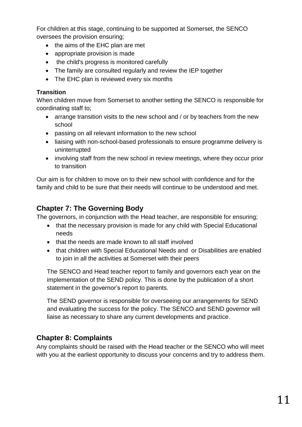For children at this stage, continuing to be supported at Somerset, the SENCO oversees the provision ensuring;

- the aims of the EHC plan are met
- appropriate provision is made
- the child's progress is monitored carefully
- The family are consulted regularly and review the IEP together
- The EHC plan is reviewed every six months

#### <span id="page-10-0"></span>**Transition**

When children move from Somerset to another setting the SENCO is responsible for coordinating staff to;

- arrange transition visits to the new school and / or by teachers from the new school
- passing on all relevant information to the new school
- liaising with non-school-based professionals to ensure programme delivery is uninterrupted
- involving staff from the new school in review meetings, where they occur prior to transition

Our aim is for children to move on to their new school with confidence and for the family and child to be sure that their needs will continue to be understood and met.

## <span id="page-10-1"></span>**Chapter 7: The Governing Body**

The governors, in conjunction with the Head teacher, are responsible for ensuring;

- that the necessary provision is made for any child with Special Educational needs
- that the needs are made known to all staff involved
- that children with Special Educational Needs and or Disabilities are enabled to join in all the activities at Somerset with their peers

The SENCO and Head teacher report to family and governors each year on the implementation of the SEND policy. This is done by the publication of a short statement in the governor's report to parents.

The SEND governor is responsible for overseeing our arrangements for SEND and evaluating the success for the policy. The SENCO and SEND governor will liaise as necessary to share any current developments and practice.

# <span id="page-10-2"></span>**Chapter 8: Complaints**

Any complaints should be raised with the Head teacher or the SENCO who will meet with you at the earliest opportunity to discuss your concerns and try to address them.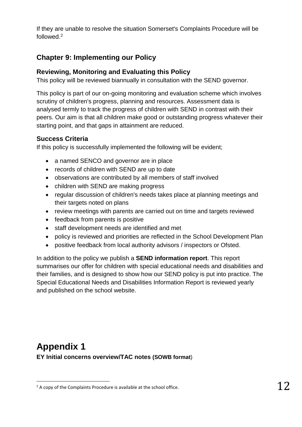If they are unable to resolve the situation Somerset's Complaints Procedure will be followed.<sup>2</sup>

# <span id="page-11-0"></span>**Chapter 9: Implementing our Policy**

#### <span id="page-11-1"></span>**Reviewing, Monitoring and Evaluating this Policy**

This policy will be reviewed biannually in consultation with the SEND governor.

This policy is part of our on-going monitoring and evaluation scheme which involves scrutiny of children's progress, planning and resources. Assessment data is analysed termly to track the progress of children with SEND in contrast with their peers. Our aim is that all children make good or outstanding progress whatever their starting point, and that gaps in attainment are reduced.

#### <span id="page-11-2"></span>**Success Criteria**

If this policy is successfully implemented the following will be evident;

- a named SENCO and governor are in place
- records of children with SEND are up to date
- observations are contributed by all members of staff involved
- children with SEND are making progress
- regular discussion of children's needs takes place at planning meetings and their targets noted on plans
- review meetings with parents are carried out on time and targets reviewed
- feedback from parents is positive
- staff development needs are identified and met
- policy is reviewed and priorities are reflected in the School Development Plan
- positive feedback from local authority advisors / inspectors or Ofsted.

In addition to the policy we publish a **SEND information report**. This report summarises our offer for children with special educational needs and disabilities and their families, and is designed to show how our SEND policy is put into practice. The Special Educational Needs and Disabilities Information Report is reviewed yearly and published on the school website.

# <span id="page-11-3"></span>**Appendix 1 EY Initial concerns overview/TAC notes (SOWB format**)

1

 $2$  A copy of the Complaints Procedure is available at the school office.